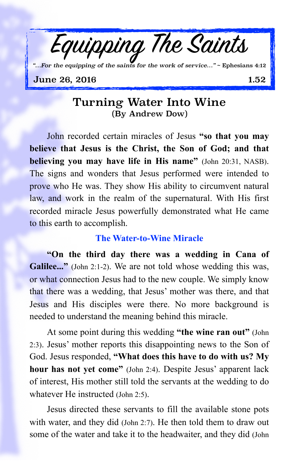

#### **June 26, 2016** 1.52

# Turning Water Into Wine (By Andrew Dow)

John recorded certain miracles of Jesus **"so that you may believe that Jesus is the Christ, the Son of God; and that believing you may have life in His name"** (John 20:31, NASB). The signs and wonders that Jesus performed were intended to prove who He was. They show His ability to circumvent natural law, and work in the realm of the supernatural. With His first recorded miracle Jesus powerfully demonstrated what He came to this earth to accomplish.

## **The Water-to-Wine Miracle**

**"On the third day there was a wedding in Cana of Galilee..."** (John 2:1-2). We are not told whose wedding this was, or what connection Jesus had to the new couple. We simply know that there was a wedding, that Jesus' mother was there, and that Jesus and His disciples were there. No more background is needed to understand the meaning behind this miracle.

At some point during this wedding **"the wine ran out"** (John 2:3). Jesus' mother reports this disappointing news to the Son of God. Jesus responded, **"What does this have to do with us? My hour has not yet come"** (John 2:4). Despite Jesus' apparent lack of interest, His mother still told the servants at the wedding to do whatever He instructed (John 2:5).

Jesus directed these servants to fill the available stone pots with water, and they did (John 2:7). He then told them to draw out some of the water and take it to the headwaiter, and they did (John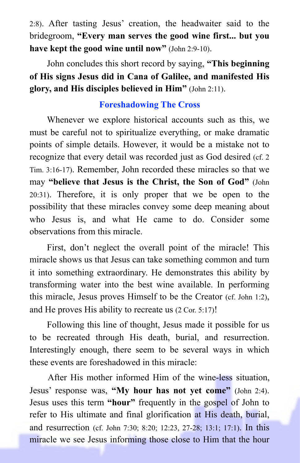2:8). After tasting Jesus' creation, the headwaiter said to the bridegroom, **"Every man serves the good wine first... but you have kept the good wine until now"** (John 2:9-10).

John concludes this short record by saying, **"This beginning of His signs Jesus did in Cana of Galilee, and manifested His glory, and His disciples believed in Him"** (John 2:11).

## **Foreshadowing The Cross**

Whenever we explore historical accounts such as this, we must be careful not to spiritualize everything, or make dramatic points of simple details. However, it would be a mistake not to recognize that every detail was recorded just as God desired (cf. 2 Tim. 3:16-17). Remember, John recorded these miracles so that we may **"believe that Jesus is the Christ, the Son of God"** (John 20:31). Therefore, it is only proper that we be open to the possibility that these miracles convey some deep meaning about who Jesus is, and what He came to do. Consider some observations from this miracle.

First, don't neglect the overall point of the miracle! This miracle shows us that Jesus can take something common and turn it into something extraordinary. He demonstrates this ability by transforming water into the best wine available. In performing this miracle, Jesus proves Himself to be the Creator (cf. John 1:2), and He proves His ability to recreate us (2 Cor. 5:17)!

Following this line of thought, Jesus made it possible for us to be recreated through His death, burial, and resurrection. Interestingly enough, there seem to be several ways in which these events are foreshadowed in this miracle:

After His mother informed Him of the wine-less situation, Jesus' response was, **"My hour has not yet come"** (John 2:4). Jesus uses this term **"hour"** frequently in the gospel of John to refer to His ultimate and final glorification at His death, burial, and resurrection (cf. John 7:30; 8:20; 12:23, 27-28; 13:1; 17:1). In this miracle we see Jesus informing those close to Him that the hour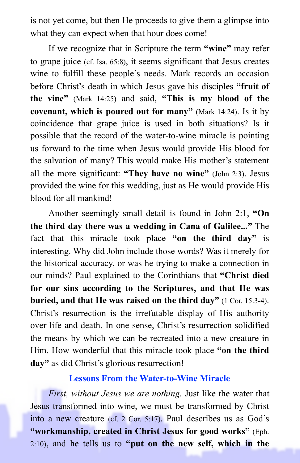is not yet come, but then He proceeds to give them a glimpse into what they can expect when that hour does come!

If we recognize that in Scripture the term **"wine"** may refer to grape juice (cf. Isa. 65:8), it seems significant that Jesus creates wine to fulfill these people's needs. Mark records an occasion before Christ's death in which Jesus gave his disciples **"fruit of the vine"** (Mark 14:25) and said, **"This is my blood of the covenant, which is poured out for many"** (Mark 14:24). Is it by coincidence that grape juice is used in both situations? Is it possible that the record of the water-to-wine miracle is pointing us forward to the time when Jesus would provide His blood for the salvation of many? This would make His mother's statement all the more significant: **"They have no wine"** (John 2:3). Jesus provided the wine for this wedding, just as He would provide His blood for all mankind!

Another seemingly small detail is found in John 2:1, **"On the third day there was a wedding in Cana of Galilee..."** The fact that this miracle took place **"on the third day"** is interesting. Why did John include those words? Was it merely for the historical accuracy, or was he trying to make a connection in our minds? Paul explained to the Corinthians that **"Christ died for our sins according to the Scriptures, and that He was buried, and that He was raised on the third day"** (1 Cor. 15:3-4). Christ's resurrection is the irrefutable display of His authority over life and death. In one sense, Christ's resurrection solidified the means by which we can be recreated into a new creature in Him. How wonderful that this miracle took place **"on the third day"** as did Christ's glorious resurrection!

#### **Lessons From the Water-to-Wine Miracle**

*First, without Jesus we are nothing.* Just like the water that Jesus transformed into wine, we must be transformed by Christ into a new creature (cf. 2 Cor. 5:17). Paul describes us as God's **"workmanship, created in Christ Jesus for good works"** (Eph. 2:10), and he tells us to **"put on the new self, which in the**